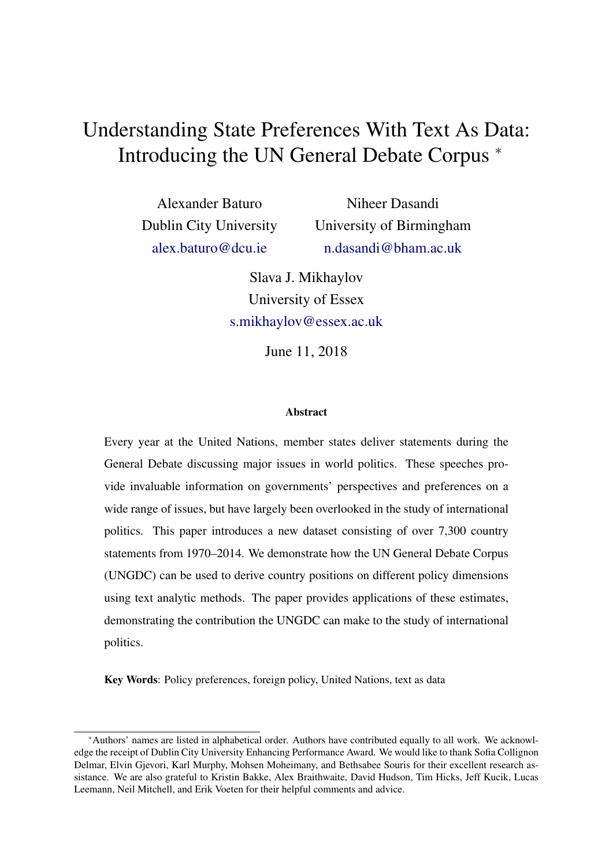# Understanding State Preferences With Text As Data: Introducing the UN General Debate Corpus <sup>∗</sup>

Alexander Baturo Dublin City University [alex.baturo@dcu.ie](mailto:alex.baturo@dcu.ie)

Niheer Dasandi University of Birmingham [n.dasandi@bham.ac.uk](mailto:n.dasandi@bham.ac.uk)

Slava J. Mikhaylov University of Essex [s.mikhaylov@essex.ac.uk](mailto:s.mikhaylov@essex.ac.uk)

June 11, 2018

#### **Abstract**

Every year at the United Nations, member states deliver statements during the General Debate discussing major issues in world politics. These speeches provide invaluable information on governments' perspectives and preferences on a wide range of issues, but have largely been overlooked in the study of international politics. This paper introduces a new dataset consisting of over 7,300 country statements from 1970–2014. We demonstrate how the UN General Debate Corpus (UNGDC) can be used to derive country positions on different policy dimensions using text analytic methods. The paper provides applications of these estimates, demonstrating the contribution the UNGDC can make to the study of international politics.

Key Words: Policy preferences, foreign policy, United Nations, text as data

<sup>∗</sup>Authors' names are listed in alphabetical order. Authors have contributed equally to all work. We acknowledge the receipt of Dublin City University Enhancing Performance Award. We would like to thank Sofia Collignon Delmar, Elvin Gjevori, Karl Murphy, Mohsen Moheimany, and Bethsabee Souris for their excellent research assistance. We are also grateful to Kristin Bakke, Alex Braithwaite, David Hudson, Tim Hicks, Jeff Kucik, Lucas Leemann, Neil Mitchell, and Erik Voeten for their helpful comments and advice.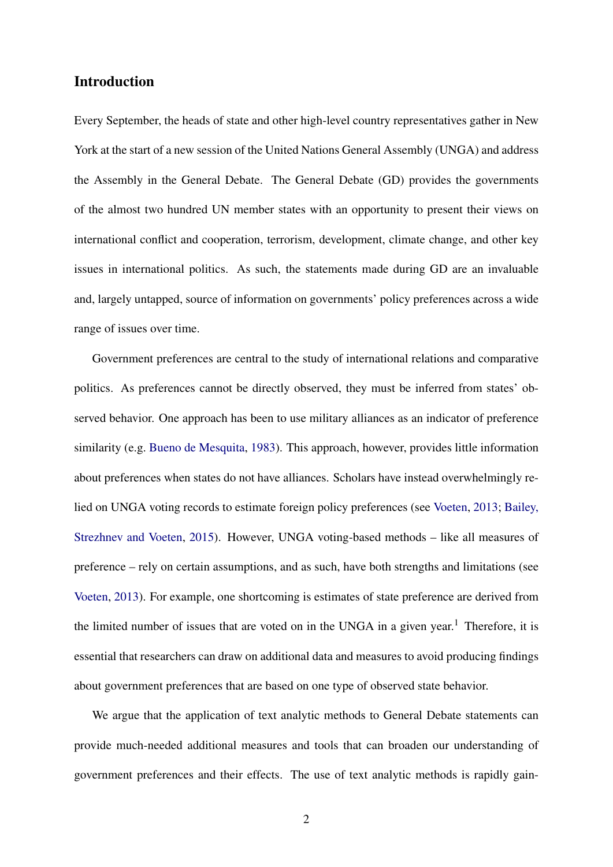### Introduction

Every September, the heads of state and other high-level country representatives gather in New York at the start of a new session of the United Nations General Assembly (UNGA) and address the Assembly in the General Debate. The General Debate (GD) provides the governments of the almost two hundred UN member states with an opportunity to present their views on international conflict and cooperation, terrorism, development, climate change, and other key issues in international politics. As such, the statements made during GD are an invaluable and, largely untapped, source of information on governments' policy preferences across a wide range of issues over time.

Government preferences are central to the study of international relations and comparative politics. As preferences cannot be directly observed, they must be inferred from states' observed behavior. One approach has been to use military alliances as an indicator of preference similarity (e.g. [Bueno de Mesquita,](#page-19-0) [1983\)](#page-19-0). This approach, however, provides little information about preferences when states do not have alliances. Scholars have instead overwhelmingly relied on UNGA voting records to estimate foreign policy preferences (see [Voeten,](#page-20-0) [2013;](#page-20-0) [Bailey,](#page-19-1) [Strezhnev and Voeten,](#page-19-1) [2015\)](#page-19-1). However, UNGA voting-based methods – like all measures of preference – rely on certain assumptions, and as such, have both strengths and limitations (see [Voeten,](#page-20-0) [2013\)](#page-20-0). For example, one shortcoming is estimates of state preference are derived from the limited number of issues that are voted on in the UNGA in a given year.<sup>1</sup> Therefore, it is essential that researchers can draw on additional data and measures to avoid producing findings about government preferences that are based on one type of observed state behavior.

We argue that the application of text analytic methods to General Debate statements can provide much-needed additional measures and tools that can broaden our understanding of government preferences and their effects. The use of text analytic methods is rapidly gain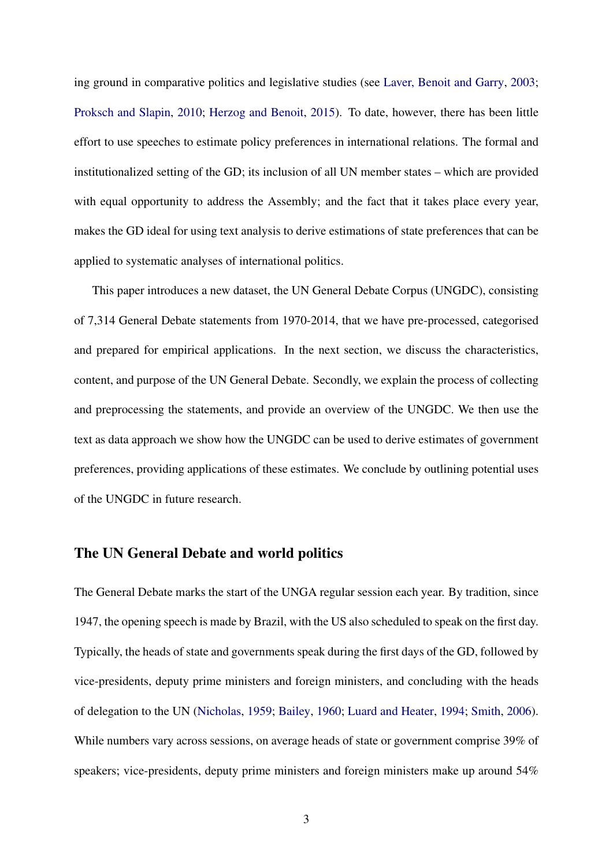ing ground in comparative politics and legislative studies (see [Laver, Benoit and Garry,](#page-20-1) [2003;](#page-20-1) [Proksch and Slapin,](#page-20-2) [2010;](#page-20-2) [Herzog and Benoit,](#page-19-2) [2015\)](#page-19-2). To date, however, there has been little effort to use speeches to estimate policy preferences in international relations. The formal and institutionalized setting of the GD; its inclusion of all UN member states – which are provided with equal opportunity to address the Assembly; and the fact that it takes place every year, makes the GD ideal for using text analysis to derive estimations of state preferences that can be applied to systematic analyses of international politics.

This paper introduces a new dataset, the UN General Debate Corpus (UNGDC), consisting of 7,314 General Debate statements from 1970-2014, that we have pre-processed, categorised and prepared for empirical applications. In the next section, we discuss the characteristics, content, and purpose of the UN General Debate. Secondly, we explain the process of collecting and preprocessing the statements, and provide an overview of the UNGDC. We then use the text as data approach we show how the UNGDC can be used to derive estimates of government preferences, providing applications of these estimates. We conclude by outlining potential uses of the UNGDC in future research.

### The UN General Debate and world politics

The General Debate marks the start of the UNGA regular session each year. By tradition, since 1947, the opening speech is made by Brazil, with the US also scheduled to speak on the first day. Typically, the heads of state and governments speak during the first days of the GD, followed by vice-presidents, deputy prime ministers and foreign ministers, and concluding with the heads of delegation to the UN [\(Nicholas,](#page-20-3) [1959;](#page-20-3) [Bailey,](#page-19-3) [1960;](#page-19-3) [Luard and Heater,](#page-20-4) [1994;](#page-20-4) [Smith,](#page-20-5) [2006\)](#page-20-5). While numbers vary across sessions, on average heads of state or government comprise 39% of speakers; vice-presidents, deputy prime ministers and foreign ministers make up around 54%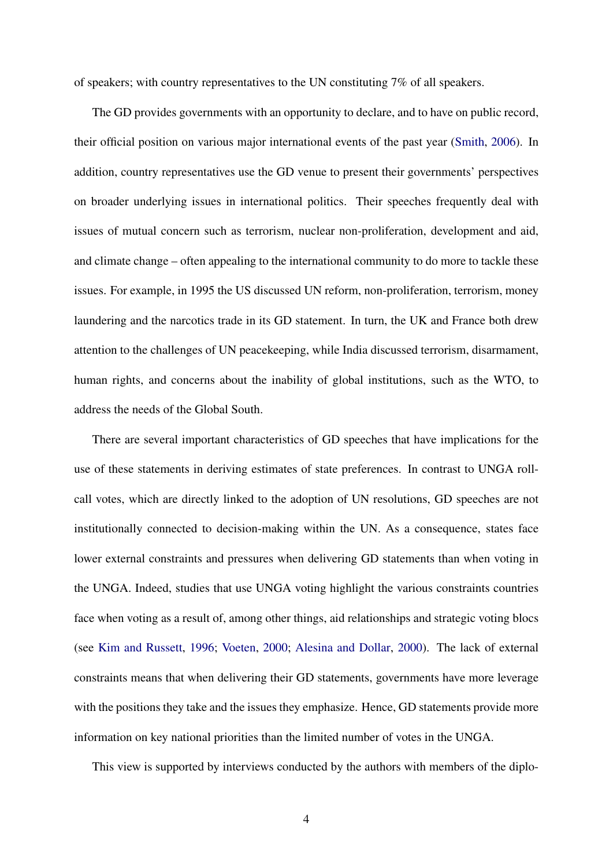of speakers; with country representatives to the UN constituting 7% of all speakers.

The GD provides governments with an opportunity to declare, and to have on public record, their official position on various major international events of the past year [\(Smith,](#page-20-5) [2006\)](#page-20-5). In addition, country representatives use the GD venue to present their governments' perspectives on broader underlying issues in international politics. Their speeches frequently deal with issues of mutual concern such as terrorism, nuclear non-proliferation, development and aid, and climate change – often appealing to the international community to do more to tackle these issues. For example, in 1995 the US discussed UN reform, non-proliferation, terrorism, money laundering and the narcotics trade in its GD statement. In turn, the UK and France both drew attention to the challenges of UN peacekeeping, while India discussed terrorism, disarmament, human rights, and concerns about the inability of global institutions, such as the WTO, to address the needs of the Global South.

There are several important characteristics of GD speeches that have implications for the use of these statements in deriving estimates of state preferences. In contrast to UNGA rollcall votes, which are directly linked to the adoption of UN resolutions, GD speeches are not institutionally connected to decision-making within the UN. As a consequence, states face lower external constraints and pressures when delivering GD statements than when voting in the UNGA. Indeed, studies that use UNGA voting highlight the various constraints countries face when voting as a result of, among other things, aid relationships and strategic voting blocs (see [Kim and Russett,](#page-19-4) [1996;](#page-19-4) [Voeten,](#page-20-6) [2000;](#page-20-6) [Alesina and Dollar,](#page-19-5) [2000\)](#page-19-5). The lack of external constraints means that when delivering their GD statements, governments have more leverage with the positions they take and the issues they emphasize. Hence, GD statements provide more information on key national priorities than the limited number of votes in the UNGA.

This view is supported by interviews conducted by the authors with members of the diplo-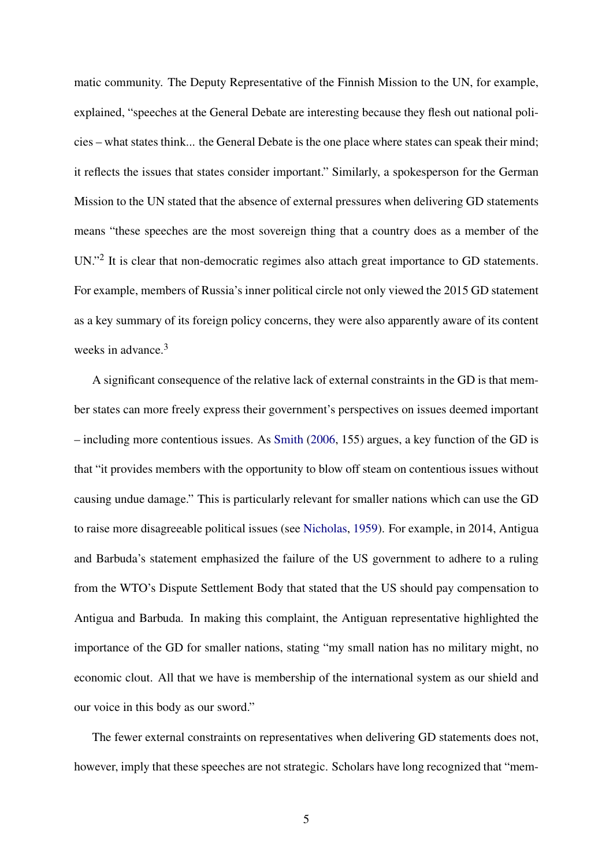matic community. The Deputy Representative of the Finnish Mission to the UN, for example, explained, "speeches at the General Debate are interesting because they flesh out national policies – what states think... the General Debate is the one place where states can speak their mind; it reflects the issues that states consider important." Similarly, a spokesperson for the German Mission to the UN stated that the absence of external pressures when delivering GD statements means "these speeches are the most sovereign thing that a country does as a member of the UN."<sup>2</sup> It is clear that non-democratic regimes also attach great importance to GD statements. For example, members of Russia's inner political circle not only viewed the 2015 GD statement as a key summary of its foreign policy concerns, they were also apparently aware of its content weeks in advance. $3$ 

A significant consequence of the relative lack of external constraints in the GD is that member states can more freely express their government's perspectives on issues deemed important – including more contentious issues. As [Smith](#page-20-5) [\(2006,](#page-20-5) 155) argues, a key function of the GD is that "it provides members with the opportunity to blow off steam on contentious issues without causing undue damage." This is particularly relevant for smaller nations which can use the GD to raise more disagreeable political issues (see [Nicholas,](#page-20-3) [1959\)](#page-20-3). For example, in 2014, Antigua and Barbuda's statement emphasized the failure of the US government to adhere to a ruling from the WTO's Dispute Settlement Body that stated that the US should pay compensation to Antigua and Barbuda. In making this complaint, the Antiguan representative highlighted the importance of the GD for smaller nations, stating "my small nation has no military might, no economic clout. All that we have is membership of the international system as our shield and our voice in this body as our sword."

The fewer external constraints on representatives when delivering GD statements does not, however, imply that these speeches are not strategic. Scholars have long recognized that "mem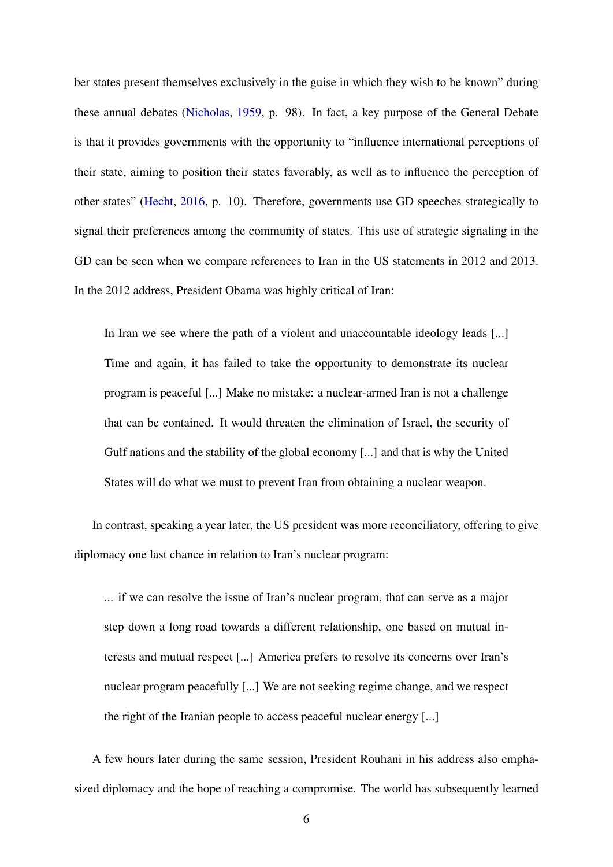ber states present themselves exclusively in the guise in which they wish to be known" during these annual debates [\(Nicholas,](#page-20-3) [1959,](#page-20-3) p. 98). In fact, a key purpose of the General Debate is that it provides governments with the opportunity to "influence international perceptions of their state, aiming to position their states favorably, as well as to influence the perception of other states" [\(Hecht,](#page-19-6) [2016,](#page-19-6) p. 10). Therefore, governments use GD speeches strategically to signal their preferences among the community of states. This use of strategic signaling in the GD can be seen when we compare references to Iran in the US statements in 2012 and 2013. In the 2012 address, President Obama was highly critical of Iran:

In Iran we see where the path of a violent and unaccountable ideology leads [...] Time and again, it has failed to take the opportunity to demonstrate its nuclear program is peaceful [...] Make no mistake: a nuclear-armed Iran is not a challenge that can be contained. It would threaten the elimination of Israel, the security of Gulf nations and the stability of the global economy [...] and that is why the United States will do what we must to prevent Iran from obtaining a nuclear weapon.

In contrast, speaking a year later, the US president was more reconciliatory, offering to give diplomacy one last chance in relation to Iran's nuclear program:

... if we can resolve the issue of Iran's nuclear program, that can serve as a major step down a long road towards a different relationship, one based on mutual interests and mutual respect [...] America prefers to resolve its concerns over Iran's nuclear program peacefully [...] We are not seeking regime change, and we respect the right of the Iranian people to access peaceful nuclear energy [...]

A few hours later during the same session, President Rouhani in his address also emphasized diplomacy and the hope of reaching a compromise. The world has subsequently learned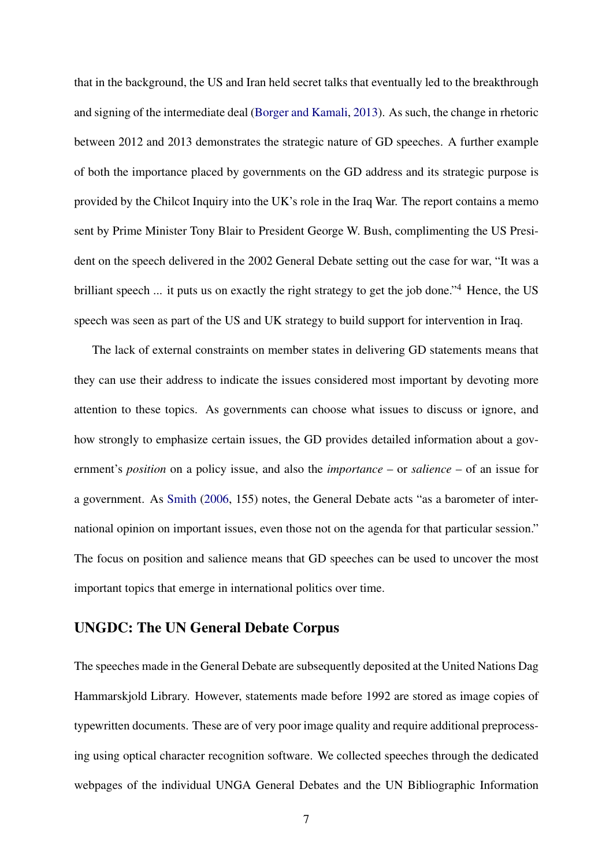that in the background, the US and Iran held secret talks that eventually led to the breakthrough and signing of the intermediate deal [\(Borger and Kamali,](#page-19-7) [2013\)](#page-19-7). As such, the change in rhetoric between 2012 and 2013 demonstrates the strategic nature of GD speeches. A further example of both the importance placed by governments on the GD address and its strategic purpose is provided by the Chilcot Inquiry into the UK's role in the Iraq War. The report contains a memo sent by Prime Minister Tony Blair to President George W. Bush, complimenting the US President on the speech delivered in the 2002 General Debate setting out the case for war, "It was a brilliant speech ... it puts us on exactly the right strategy to get the job done."<sup>4</sup> Hence, the US speech was seen as part of the US and UK strategy to build support for intervention in Iraq.

The lack of external constraints on member states in delivering GD statements means that they can use their address to indicate the issues considered most important by devoting more attention to these topics. As governments can choose what issues to discuss or ignore, and how strongly to emphasize certain issues, the GD provides detailed information about a government's *position* on a policy issue, and also the *importance* – or *salience* – of an issue for a government. As [Smith](#page-20-5) [\(2006,](#page-20-5) 155) notes, the General Debate acts "as a barometer of international opinion on important issues, even those not on the agenda for that particular session." The focus on position and salience means that GD speeches can be used to uncover the most important topics that emerge in international politics over time.

### UNGDC: The UN General Debate Corpus

The speeches made in the General Debate are subsequently deposited at the United Nations Dag Hammarskjold Library. However, statements made before 1992 are stored as image copies of typewritten documents. These are of very poor image quality and require additional preprocessing using optical character recognition software. We collected speeches through the dedicated webpages of the individual UNGA General Debates and the UN Bibliographic Information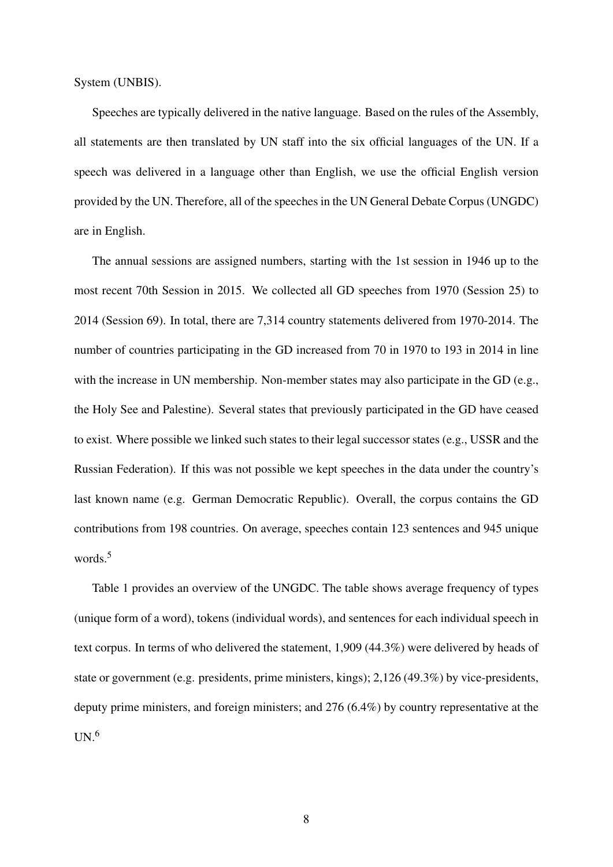System (UNBIS).

Speeches are typically delivered in the native language. Based on the rules of the Assembly, all statements are then translated by UN staff into the six official languages of the UN. If a speech was delivered in a language other than English, we use the official English version provided by the UN. Therefore, all of the speeches in the UN General Debate Corpus (UNGDC) are in English.

The annual sessions are assigned numbers, starting with the 1st session in 1946 up to the most recent 70th Session in 2015. We collected all GD speeches from 1970 (Session 25) to 2014 (Session 69). In total, there are 7,314 country statements delivered from 1970-2014. The number of countries participating in the GD increased from 70 in 1970 to 193 in 2014 in line with the increase in UN membership. Non-member states may also participate in the GD (e.g., the Holy See and Palestine). Several states that previously participated in the GD have ceased to exist. Where possible we linked such states to their legal successor states (e.g., USSR and the Russian Federation). If this was not possible we kept speeches in the data under the country's last known name (e.g. German Democratic Republic). Overall, the corpus contains the GD contributions from 198 countries. On average, speeches contain 123 sentences and 945 unique words.<sup>5</sup>

Table [1](#page-8-0) provides an overview of the UNGDC. The table shows average frequency of types (unique form of a word), tokens (individual words), and sentences for each individual speech in text corpus. In terms of who delivered the statement, 1,909 (44.3%) were delivered by heads of state or government (e.g. presidents, prime ministers, kings); 2,126 (49.3%) by vice-presidents, deputy prime ministers, and foreign ministers; and 276 (6.4%) by country representative at the  $UN.<sup>6</sup>$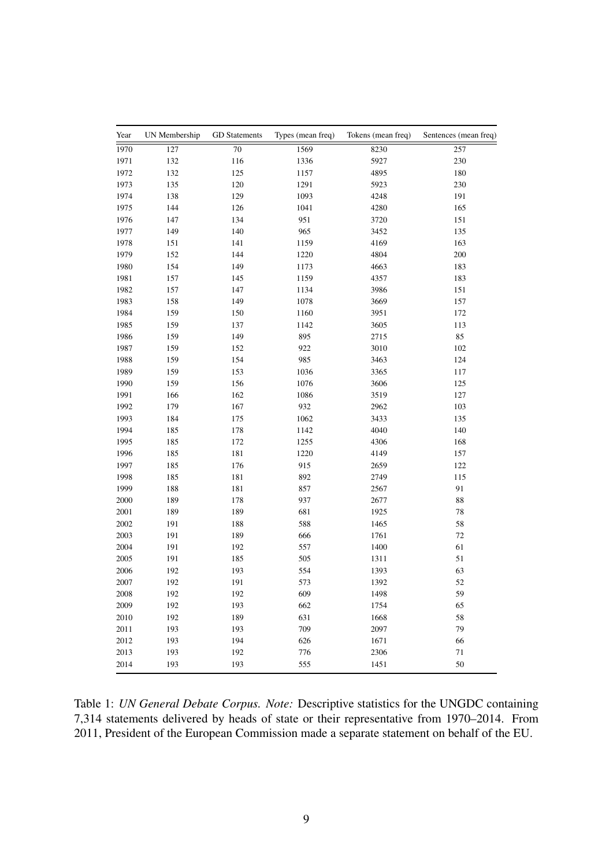<span id="page-8-0"></span>

| Year | UN Membership | <b>GD</b> Statements | Types (mean freq) | Tokens (mean freq) | Sentences (mean freq) |
|------|---------------|----------------------|-------------------|--------------------|-----------------------|
| 1970 | 127           | $70\,$               | 1569              | 8230               | 257                   |
| 1971 | 132           | 116                  | 1336              | 5927               | 230                   |
| 1972 | 132           | 125                  | 1157              | 4895               | 180                   |
| 1973 | 135           | 120                  | 1291              | 5923               | 230                   |
| 1974 | 138           | 129                  | 1093              | 4248               | 191                   |
| 1975 | 144           | 126                  | 1041              | 4280               | 165                   |
| 1976 | 147           | 134                  | 951               | 3720               | 151                   |
| 1977 | 149           | 140                  | 965               | 3452               | 135                   |
| 1978 | 151           | 141                  | 1159              | 4169               | 163                   |
| 1979 | 152           | 144                  | 1220              | 4804               | 200                   |
| 1980 | 154           | 149                  | 1173              | 4663               | 183                   |
| 1981 | 157           | 145                  | 1159              | 4357               | 183                   |
| 1982 | 157           | 147                  | 1134              | 3986               | 151                   |
| 1983 | 158           | 149                  | 1078              | 3669               | 157                   |
| 1984 | 159           | 150                  | 1160              | 3951               | 172                   |
| 1985 | 159           | 137                  | 1142              | 3605               | 113                   |
| 1986 | 159           | 149                  | 895               | 2715               | 85                    |
| 1987 | 159           | 152                  | 922               | 3010               | 102                   |
| 1988 | 159           | 154                  | 985               | 3463               | 124                   |
| 1989 | 159           | 153                  | 1036              | 3365               | 117                   |
| 1990 | 159           | 156                  | 1076              | 3606               | 125                   |
| 1991 | 166           | 162                  | 1086              | 3519               | 127                   |
| 1992 | 179           | 167                  | 932               | 2962               | 103                   |
| 1993 | 184           | 175                  | 1062              | 3433               | 135                   |
| 1994 | 185           | 178                  | 1142              | 4040               | 140                   |
| 1995 | 185           | 172                  | 1255              | 4306               | 168                   |
| 1996 | 185           | 181                  | 1220              | 4149               | 157                   |
| 1997 | 185           | 176                  | 915               | 2659               | 122                   |
| 1998 | 185           | 181                  | 892               | 2749               | 115                   |
| 1999 | 188           | 181                  | 857               | 2567               | 91                    |
| 2000 | 189           | 178                  | 937               | 2677               | $\bf 88$              |
| 2001 | 189           | 189                  | 681               | 1925               | $78\,$                |
| 2002 | 191           | 188                  | 588               | 1465               | 58                    |
| 2003 | 191           | 189                  | 666               | 1761               | $72\,$                |
| 2004 | 191           | 192                  | 557               | 1400               | 61                    |
| 2005 | 191           | 185                  | 505               | 1311               | 51                    |
| 2006 | 192           | 193                  | 554               | 1393               | 63                    |
| 2007 | 192           | 191                  | 573               | 1392               | 52                    |
| 2008 | 192           | 192                  | 609               | 1498               | 59                    |
| 2009 | 192           | 193                  | 662               | 1754               | 65                    |
| 2010 | 192           | 189                  | 631               | 1668               | 58                    |
| 2011 | 193           | 193                  | 709               | 2097               | 79                    |
| 2012 | 193           | 194                  | 626               | 1671               | 66                    |
| 2013 | 193           | 192                  | 776               | 2306               | 71                    |
| 2014 | 193           | 193                  | 555               | 1451               | 50                    |

Table 1: *UN General Debate Corpus. Note:* Descriptive statistics for the UNGDC containing 7,314 statements delivered by heads of state or their representative from 1970–2014. From 2011, President of the European Commission made a separate statement on behalf of the EU.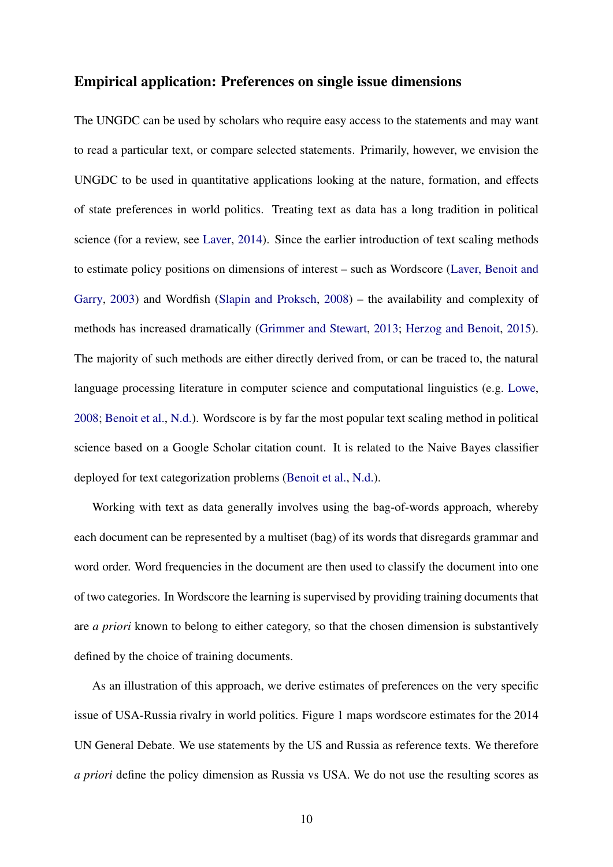### Empirical application: Preferences on single issue dimensions

The UNGDC can be used by scholars who require easy access to the statements and may want to read a particular text, or compare selected statements. Primarily, however, we envision the UNGDC to be used in quantitative applications looking at the nature, formation, and effects of state preferences in world politics. Treating text as data has a long tradition in political science (for a review, see [Laver,](#page-20-7) [2014\)](#page-20-7). Since the earlier introduction of text scaling methods to estimate policy positions on dimensions of interest – such as Wordscore [\(Laver, Benoit and](#page-20-1) [Garry,](#page-20-1) [2003\)](#page-20-1) and Wordfish [\(Slapin and Proksch,](#page-20-8) [2008\)](#page-20-8) – the availability and complexity of methods has increased dramatically [\(Grimmer and Stewart,](#page-19-8) [2013;](#page-19-8) [Herzog and Benoit,](#page-19-2) [2015\)](#page-19-2). The majority of such methods are either directly derived from, or can be traced to, the natural language processing literature in computer science and computational linguistics (e.g. [Lowe,](#page-20-9) [2008;](#page-20-9) [Benoit et al.,](#page-19-9) [N.d.\)](#page-19-9). Wordscore is by far the most popular text scaling method in political science based on a Google Scholar citation count. It is related to the Naive Bayes classifier deployed for text categorization problems [\(Benoit et al.,](#page-19-9) [N.d.\)](#page-19-9).

Working with text as data generally involves using the bag-of-words approach, whereby each document can be represented by a multiset (bag) of its words that disregards grammar and word order. Word frequencies in the document are then used to classify the document into one of two categories. In Wordscore the learning is supervised by providing training documents that are *a priori* known to belong to either category, so that the chosen dimension is substantively defined by the choice of training documents.

As an illustration of this approach, we derive estimates of preferences on the very specific issue of USA-Russia rivalry in world politics. Figure [1](#page-10-0) maps wordscore estimates for the 2014 UN General Debate. We use statements by the US and Russia as reference texts. We therefore *a priori* define the policy dimension as Russia vs USA. We do not use the resulting scores as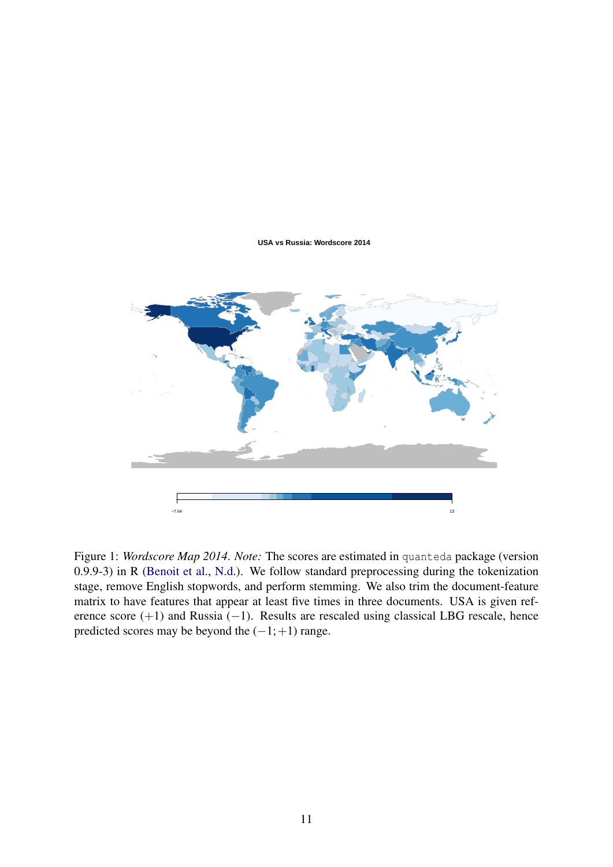#### **USA vs Russia: Wordscore 2014**

<span id="page-10-0"></span>

Figure 1: *Wordscore Map 2014*. *Note:* The scores are estimated in quanteda package (version 0.9.9-3) in R [\(Benoit et al.,](#page-19-9) [N.d.\)](#page-19-9). We follow standard preprocessing during the tokenization stage, remove English stopwords, and perform stemming. We also trim the document-feature matrix to have features that appear at least five times in three documents. USA is given reference score (+1) and Russia (−1). Results are rescaled using classical LBG rescale, hence predicted scores may be beyond the  $(-1;+1)$  range.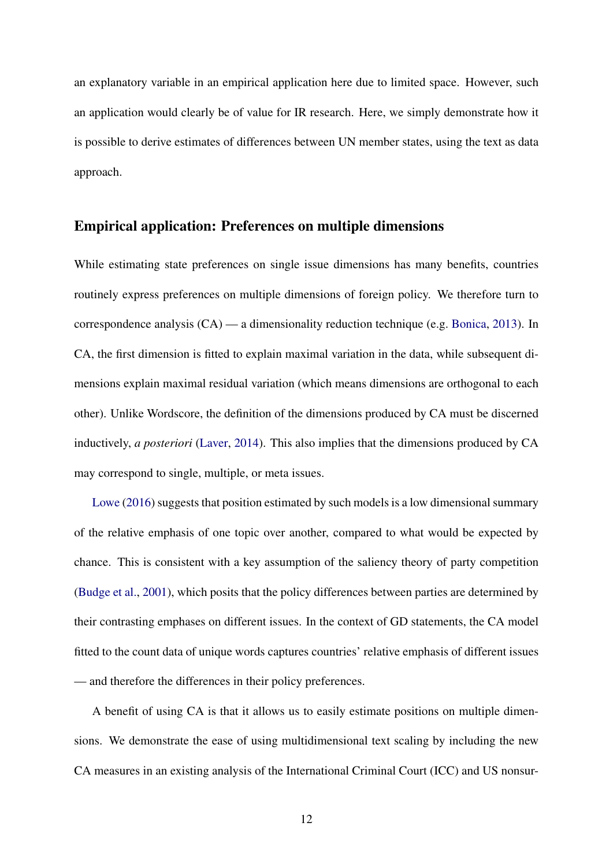an explanatory variable in an empirical application here due to limited space. However, such an application would clearly be of value for IR research. Here, we simply demonstrate how it is possible to derive estimates of differences between UN member states, using the text as data approach.

### Empirical application: Preferences on multiple dimensions

While estimating state preferences on single issue dimensions has many benefits, countries routinely express preferences on multiple dimensions of foreign policy. We therefore turn to correspondence analysis (CA) — a dimensionality reduction technique (e.g. [Bonica,](#page-19-10) [2013\)](#page-19-10). In CA, the first dimension is fitted to explain maximal variation in the data, while subsequent dimensions explain maximal residual variation (which means dimensions are orthogonal to each other). Unlike Wordscore, the definition of the dimensions produced by CA must be discerned inductively, *a posteriori* [\(Laver,](#page-20-7) [2014\)](#page-20-7). This also implies that the dimensions produced by CA may correspond to single, multiple, or meta issues.

[Lowe](#page-20-10) [\(2016\)](#page-20-10) suggests that position estimated by such models is a low dimensional summary of the relative emphasis of one topic over another, compared to what would be expected by chance. This is consistent with a key assumption of the saliency theory of party competition [\(Budge et al.,](#page-19-11) [2001\)](#page-19-11), which posits that the policy differences between parties are determined by their contrasting emphases on different issues. In the context of GD statements, the CA model fitted to the count data of unique words captures countries' relative emphasis of different issues — and therefore the differences in their policy preferences.

A benefit of using CA is that it allows us to easily estimate positions on multiple dimensions. We demonstrate the ease of using multidimensional text scaling by including the new CA measures in an existing analysis of the International Criminal Court (ICC) and US nonsur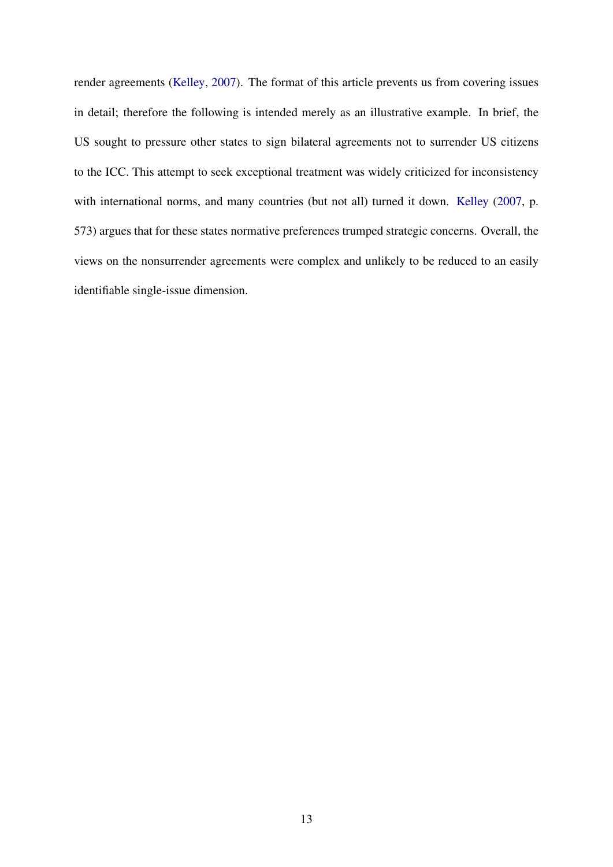render agreements [\(Kelley,](#page-19-12) [2007\)](#page-19-12). The format of this article prevents us from covering issues in detail; therefore the following is intended merely as an illustrative example. In brief, the US sought to pressure other states to sign bilateral agreements not to surrender US citizens to the ICC. This attempt to seek exceptional treatment was widely criticized for inconsistency with international norms, and many countries (but not all) turned it down. [Kelley](#page-19-12) [\(2007,](#page-19-12) p. 573) argues that for these states normative preferences trumped strategic concerns. Overall, the views on the nonsurrender agreements were complex and unlikely to be reduced to an easily identifiable single-issue dimension.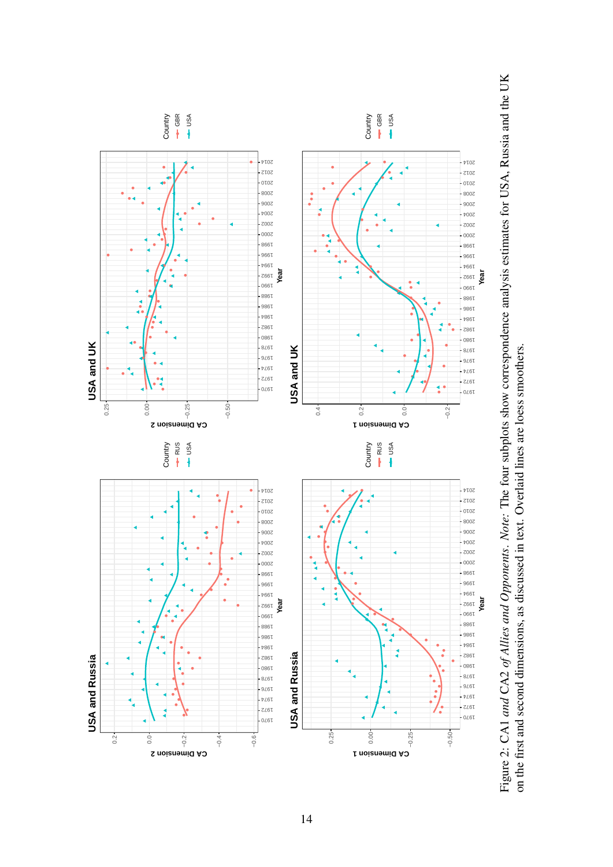

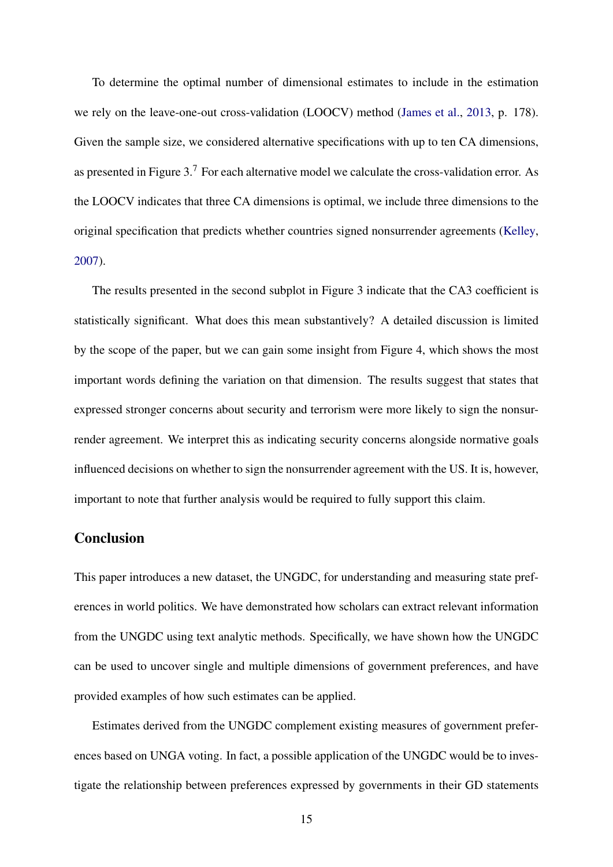To determine the optimal number of dimensional estimates to include in the estimation we rely on the leave-one-out cross-validation (LOOCV) method [\(James et al.,](#page-19-13) [2013,](#page-19-13) p. 178). Given the sample size, we considered alternative specifications with up to ten CA dimensions, as presented in Figure [3.](#page-15-0)<sup>7</sup> For each alternative model we calculate the cross-validation error. As the LOOCV indicates that three CA dimensions is optimal, we include three dimensions to the original specification that predicts whether countries signed nonsurrender agreements [\(Kelley,](#page-19-12) [2007\)](#page-19-12).

The results presented in the second subplot in Figure [3](#page-15-0) indicate that the CA3 coefficient is statistically significant. What does this mean substantively? A detailed discussion is limited by the scope of the paper, but we can gain some insight from Figure [4,](#page-16-0) which shows the most important words defining the variation on that dimension. The results suggest that states that expressed stronger concerns about security and terrorism were more likely to sign the nonsurrender agreement. We interpret this as indicating security concerns alongside normative goals influenced decisions on whether to sign the nonsurrender agreement with the US. It is, however, important to note that further analysis would be required to fully support this claim.

### Conclusion

This paper introduces a new dataset, the UNGDC, for understanding and measuring state preferences in world politics. We have demonstrated how scholars can extract relevant information from the UNGDC using text analytic methods. Specifically, we have shown how the UNGDC can be used to uncover single and multiple dimensions of government preferences, and have provided examples of how such estimates can be applied.

Estimates derived from the UNGDC complement existing measures of government preferences based on UNGA voting. In fact, a possible application of the UNGDC would be to investigate the relationship between preferences expressed by governments in their GD statements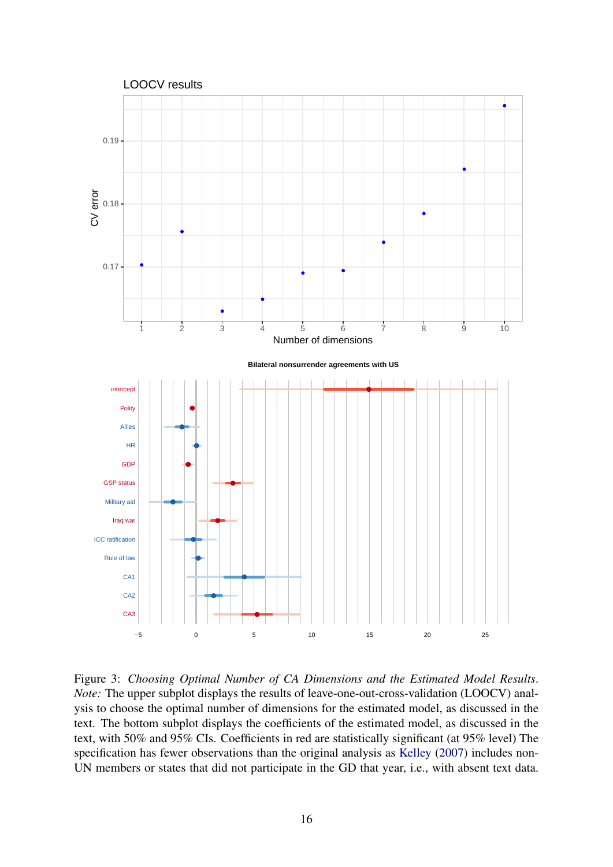<span id="page-15-0"></span>

Figure 3: *Choosing Optimal Number of CA Dimensions and the Estimated Model Results*. *Note:* The upper subplot displays the results of leave-one-out-cross-validation (LOOCV) analysis to choose the optimal number of dimensions for the estimated model, as discussed in the text. The bottom subplot displays the coefficients of the estimated model, as discussed in the text, with 50% and 95% CIs. Coefficients in red are statistically significant (at 95% level) The specification has fewer observations than the original analysis as [Kelley](#page-19-12) [\(2007\)](#page-19-12) includes non-UN members or states that did not participate in the GD that year, i.e., with absent text data.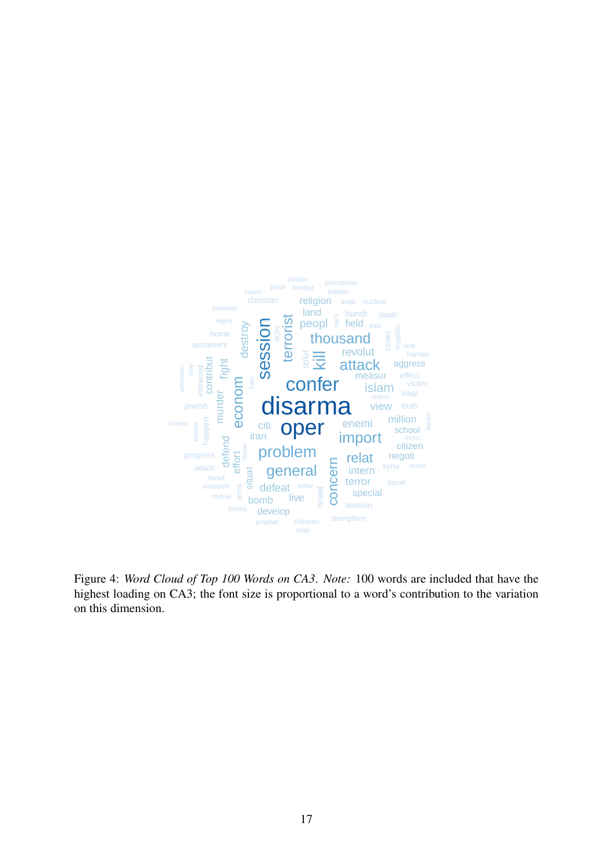<span id="page-16-0"></span>

Figure 4: *Word Cloud of Top 100 Words on CA3*. *Note:* 100 words are included that have the highest loading on CA3; the font size is proportional to a word's contribution to the variation on this dimension.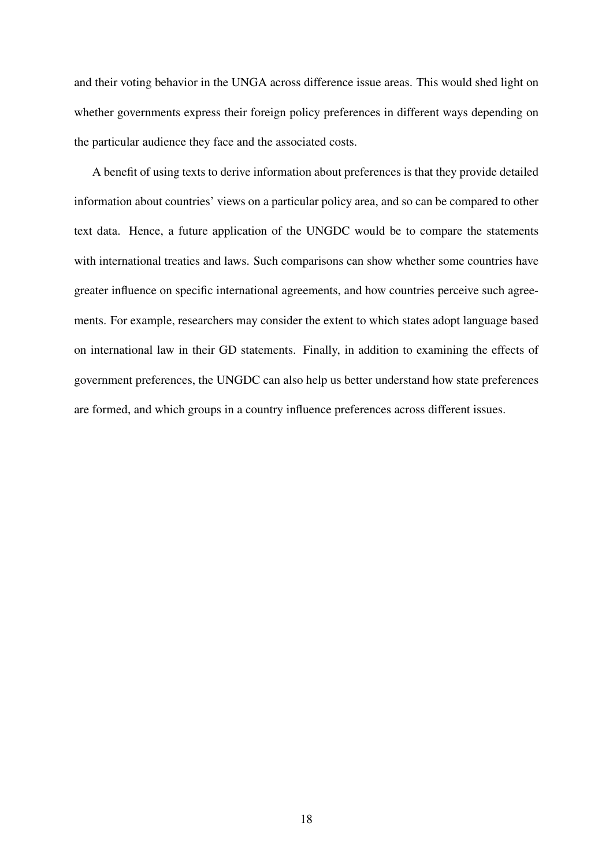and their voting behavior in the UNGA across difference issue areas. This would shed light on whether governments express their foreign policy preferences in different ways depending on the particular audience they face and the associated costs.

A benefit of using texts to derive information about preferences is that they provide detailed information about countries' views on a particular policy area, and so can be compared to other text data. Hence, a future application of the UNGDC would be to compare the statements with international treaties and laws. Such comparisons can show whether some countries have greater influence on specific international agreements, and how countries perceive such agreements. For example, researchers may consider the extent to which states adopt language based on international law in their GD statements. Finally, in addition to examining the effects of government preferences, the UNGDC can also help us better understand how state preferences are formed, and which groups in a country influence preferences across different issues.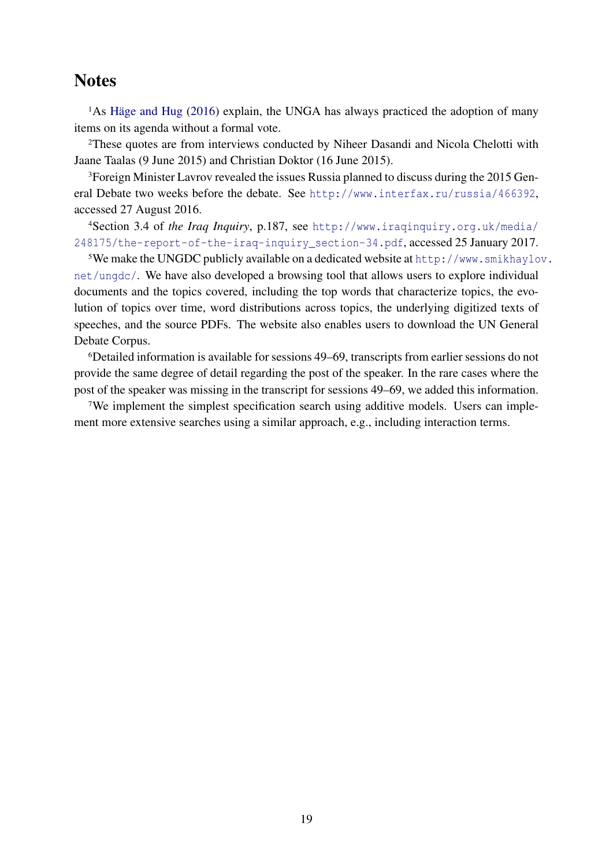# **Notes**

 $1$ As Häge and Hug [\(2016\)](#page-19-14) explain, the UNGA has always practiced the adoption of many items on its agenda without a formal vote.

<sup>2</sup>These quotes are from interviews conducted by Niheer Dasandi and Nicola Chelotti with Jaane Taalas (9 June 2015) and Christian Doktor (16 June 2015).

<sup>3</sup>Foreign Minister Lavrov revealed the issues Russia planned to discuss during the 2015 General Debate two weeks before the debate. See <http://www.interfax.ru/russia/466392>, accessed 27 August 2016.

<sup>4</sup>Section 3.4 of *the Iraq Inquiry*, p.187, see [http://www.iraqinquiry.org.uk/media/](http://www.iraqinquiry.org.uk/media/248175/the-report-of-the-iraq-inquiry_section-34.pdf) [248175/the-report-of-the-iraq-inquiry\\_section-34.pdf](http://www.iraqinquiry.org.uk/media/248175/the-report-of-the-iraq-inquiry_section-34.pdf), accessed 25 January 2017.

<sup>5</sup>We make the UNGDC publicly available on a dedicated website at [http://www.smikhaylo](http://www.smikhaylov.net/ungdc/)v. [net/ungdc/](http://www.smikhaylov.net/ungdc/). We have also developed a browsing tool that allows users to explore individual documents and the topics covered, including the top words that characterize topics, the evolution of topics over time, word distributions across topics, the underlying digitized texts of speeches, and the source PDFs. The website also enables users to download the UN General Debate Corpus.

<sup>6</sup>Detailed information is available for sessions 49–69, transcripts from earlier sessions do not provide the same degree of detail regarding the post of the speaker. In the rare cases where the post of the speaker was missing in the transcript for sessions 49–69, we added this information.

7We implement the simplest specification search using additive models. Users can implement more extensive searches using a similar approach, e.g., including interaction terms.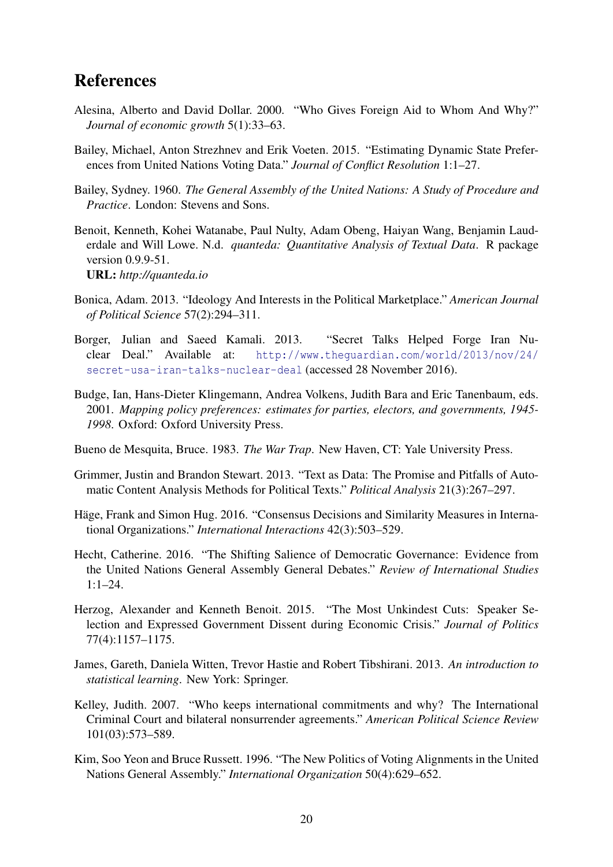# **References**

- <span id="page-19-5"></span>Alesina, Alberto and David Dollar. 2000. "Who Gives Foreign Aid to Whom And Why?" *Journal of economic growth* 5(1):33–63.
- <span id="page-19-1"></span>Bailey, Michael, Anton Strezhnev and Erik Voeten. 2015. "Estimating Dynamic State Preferences from United Nations Voting Data." *Journal of Conflict Resolution* 1:1–27.
- <span id="page-19-3"></span>Bailey, Sydney. 1960. *The General Assembly of the United Nations: A Study of Procedure and Practice*. London: Stevens and Sons.
- <span id="page-19-9"></span>Benoit, Kenneth, Kohei Watanabe, Paul Nulty, Adam Obeng, Haiyan Wang, Benjamin Lauderdale and Will Lowe. N.d. *quanteda: Quantitative Analysis of Textual Data*. R package version 0.9.9-51. URL: *http://quanteda.io*
- <span id="page-19-10"></span>Bonica, Adam. 2013. "Ideology And Interests in the Political Marketplace." *American Journal of Political Science* 57(2):294–311.
- <span id="page-19-7"></span>Borger, Julian and Saeed Kamali. 2013. "Secret Talks Helped Forge Iran Nuclear Deal." Available at: [http://www.theguardian.com/world/2013/nov/24/](http://www.theguardian.com/world/2013/nov/24/secret-usa-iran-talks-nuclear-deal) [secret-usa-iran-talks-nuclear-deal](http://www.theguardian.com/world/2013/nov/24/secret-usa-iran-talks-nuclear-deal) (accessed 28 November 2016).
- <span id="page-19-11"></span>Budge, Ian, Hans-Dieter Klingemann, Andrea Volkens, Judith Bara and Eric Tanenbaum, eds. 2001. *Mapping policy preferences: estimates for parties, electors, and governments, 1945- 1998*. Oxford: Oxford University Press.
- <span id="page-19-0"></span>Bueno de Mesquita, Bruce. 1983. *The War Trap*. New Haven, CT: Yale University Press.
- <span id="page-19-8"></span>Grimmer, Justin and Brandon Stewart. 2013. "Text as Data: The Promise and Pitfalls of Automatic Content Analysis Methods for Political Texts." *Political Analysis* 21(3):267–297.
- <span id="page-19-14"></span>Häge, Frank and Simon Hug. 2016. "Consensus Decisions and Similarity Measures in International Organizations." *International Interactions* 42(3):503–529.
- <span id="page-19-6"></span>Hecht, Catherine. 2016. "The Shifting Salience of Democratic Governance: Evidence from the United Nations General Assembly General Debates." *Review of International Studies*  $1:1-24.$
- <span id="page-19-2"></span>Herzog, Alexander and Kenneth Benoit. 2015. "The Most Unkindest Cuts: Speaker Selection and Expressed Government Dissent during Economic Crisis." *Journal of Politics* 77(4):1157–1175.
- <span id="page-19-13"></span>James, Gareth, Daniela Witten, Trevor Hastie and Robert Tibshirani. 2013. *An introduction to statistical learning*. New York: Springer.
- <span id="page-19-12"></span>Kelley, Judith. 2007. "Who keeps international commitments and why? The International Criminal Court and bilateral nonsurrender agreements." *American Political Science Review* 101(03):573–589.
- <span id="page-19-4"></span>Kim, Soo Yeon and Bruce Russett. 1996. "The New Politics of Voting Alignments in the United Nations General Assembly." *International Organization* 50(4):629–652.